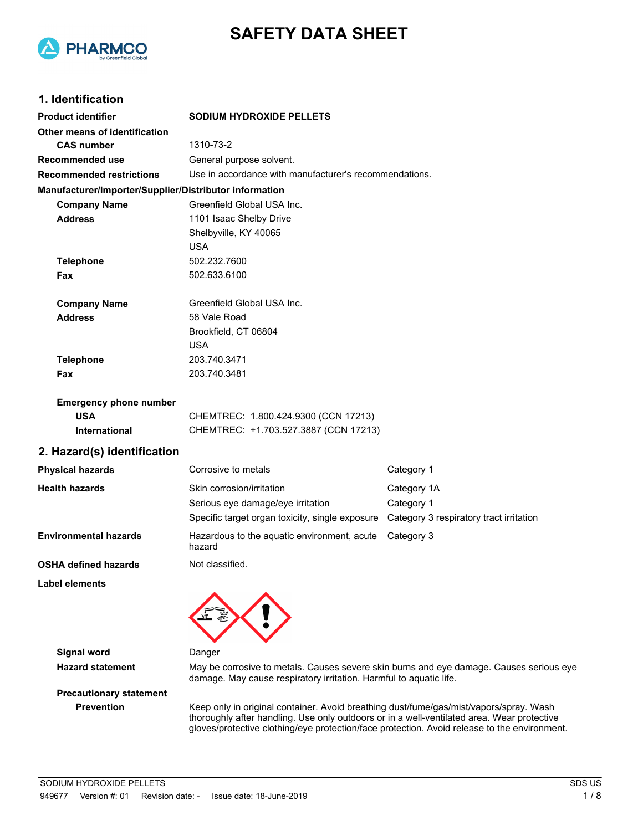

# **SAFETY DATA SHEET**

### **1. Identification**

| <b>Product identifier</b>                              | <b>SODIUM HYDROXIDE PELLETS</b>                                                                                                                                                                                                                                                      |                                         |  |
|--------------------------------------------------------|--------------------------------------------------------------------------------------------------------------------------------------------------------------------------------------------------------------------------------------------------------------------------------------|-----------------------------------------|--|
| Other means of identification                          |                                                                                                                                                                                                                                                                                      |                                         |  |
| <b>CAS number</b>                                      | 1310-73-2                                                                                                                                                                                                                                                                            |                                         |  |
| <b>Recommended use</b>                                 | General purpose solvent.                                                                                                                                                                                                                                                             |                                         |  |
| <b>Recommended restrictions</b>                        | Use in accordance with manufacturer's recommendations.                                                                                                                                                                                                                               |                                         |  |
| Manufacturer/Importer/Supplier/Distributor information |                                                                                                                                                                                                                                                                                      |                                         |  |
| <b>Company Name</b>                                    | Greenfield Global USA Inc.                                                                                                                                                                                                                                                           |                                         |  |
| <b>Address</b>                                         | 1101 Isaac Shelby Drive                                                                                                                                                                                                                                                              |                                         |  |
|                                                        | Shelbyville, KY 40065                                                                                                                                                                                                                                                                |                                         |  |
|                                                        | <b>USA</b>                                                                                                                                                                                                                                                                           |                                         |  |
| <b>Telephone</b>                                       | 502.232.7600                                                                                                                                                                                                                                                                         |                                         |  |
| Fax                                                    | 502.633.6100                                                                                                                                                                                                                                                                         |                                         |  |
| <b>Company Name</b>                                    | Greenfield Global USA Inc.                                                                                                                                                                                                                                                           |                                         |  |
| <b>Address</b>                                         | 58 Vale Road                                                                                                                                                                                                                                                                         |                                         |  |
|                                                        | Brookfield, CT 06804                                                                                                                                                                                                                                                                 |                                         |  |
|                                                        | <b>USA</b>                                                                                                                                                                                                                                                                           |                                         |  |
| <b>Telephone</b>                                       | 203.740.3471                                                                                                                                                                                                                                                                         |                                         |  |
| Fax                                                    | 203.740.3481                                                                                                                                                                                                                                                                         |                                         |  |
| <b>Emergency phone number</b>                          |                                                                                                                                                                                                                                                                                      |                                         |  |
| <b>USA</b>                                             | CHEMTREC: 1.800.424.9300 (CCN 17213)                                                                                                                                                                                                                                                 |                                         |  |
| International                                          | CHEMTREC: +1.703.527.3887 (CCN 17213)                                                                                                                                                                                                                                                |                                         |  |
| 2. Hazard(s) identification                            |                                                                                                                                                                                                                                                                                      |                                         |  |
| <b>Physical hazards</b>                                | Corrosive to metals                                                                                                                                                                                                                                                                  | Category 1                              |  |
| <b>Health hazards</b>                                  | Skin corrosion/irritation                                                                                                                                                                                                                                                            | Category 1A                             |  |
|                                                        | Serious eye damage/eye irritation                                                                                                                                                                                                                                                    | Category 1                              |  |
|                                                        | Specific target organ toxicity, single exposure                                                                                                                                                                                                                                      | Category 3 respiratory tract irritation |  |
| <b>Environmental hazards</b>                           | Hazardous to the aquatic environment, acute<br>hazard                                                                                                                                                                                                                                | Category 3                              |  |
| <b>OSHA defined hazards</b>                            | Not classified.                                                                                                                                                                                                                                                                      |                                         |  |
| <b>Label elements</b>                                  |                                                                                                                                                                                                                                                                                      |                                         |  |
|                                                        |                                                                                                                                                                                                                                                                                      |                                         |  |
|                                                        |                                                                                                                                                                                                                                                                                      |                                         |  |
| <b>Signal word</b>                                     | Danger                                                                                                                                                                                                                                                                               |                                         |  |
| <b>Hazard statement</b>                                | May be corrosive to metals. Causes severe skin burns and eye damage. Causes serious eye<br>damage. May cause respiratory irritation. Harmful to aquatic life.                                                                                                                        |                                         |  |
| <b>Precautionary statement</b>                         |                                                                                                                                                                                                                                                                                      |                                         |  |
| <b>Prevention</b>                                      | Keep only in original container. Avoid breathing dust/fume/gas/mist/vapors/spray. Wash<br>thoroughly after handling. Use only outdoors or in a well-ventilated area. Wear protective<br>gloves/protective clothing/eye protection/face protection. Avoid release to the environment. |                                         |  |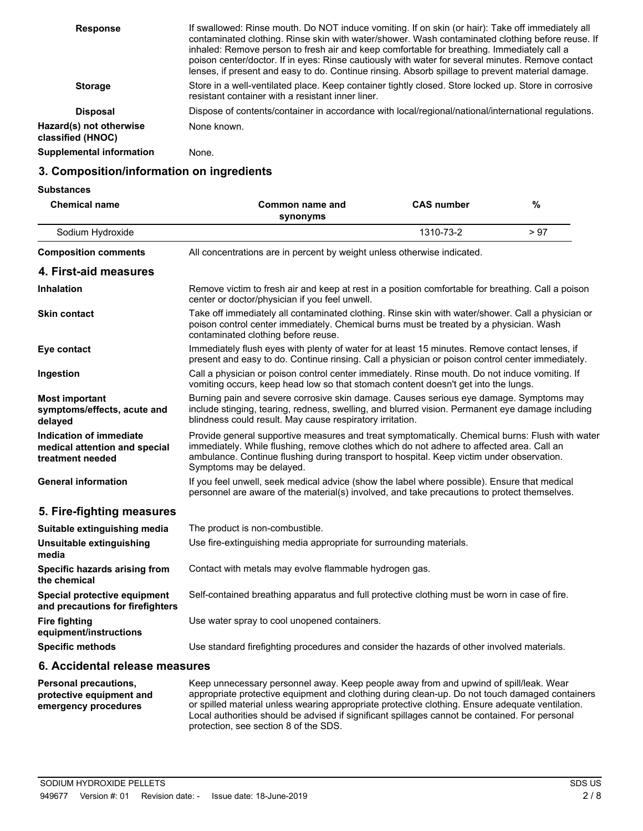| <b>Response</b>                              | If swallowed: Rinse mouth. Do NOT induce vomiting. If on skin (or hair): Take off immediately all<br>contaminated clothing. Rinse skin with water/shower. Wash contaminated clothing before reuse. If<br>inhaled: Remove person to fresh air and keep comfortable for breathing. Immediately call a<br>poison center/doctor. If in eyes: Rinse cautiously with water for several minutes. Remove contact<br>lenses, if present and easy to do. Continue rinsing. Absorb spillage to prevent material damage. |
|----------------------------------------------|--------------------------------------------------------------------------------------------------------------------------------------------------------------------------------------------------------------------------------------------------------------------------------------------------------------------------------------------------------------------------------------------------------------------------------------------------------------------------------------------------------------|
| <b>Storage</b>                               | Store in a well-ventilated place. Keep container tightly closed. Store locked up. Store in corrosive<br>resistant container with a resistant inner liner.                                                                                                                                                                                                                                                                                                                                                    |
| <b>Disposal</b>                              | Dispose of contents/container in accordance with local/regional/national/international regulations.                                                                                                                                                                                                                                                                                                                                                                                                          |
| Hazard(s) not otherwise<br>classified (HNOC) | None known.                                                                                                                                                                                                                                                                                                                                                                                                                                                                                                  |
| Supplemental information                     | None.                                                                                                                                                                                                                                                                                                                                                                                                                                                                                                        |

### **3. Composition/information on ingredients**

**Substances**

| <b>Chemical name</b>                                                                                            | Common name and<br>synonyms                                                                                                                                                                                                                                                                                           | <b>CAS number</b> | %    |
|-----------------------------------------------------------------------------------------------------------------|-----------------------------------------------------------------------------------------------------------------------------------------------------------------------------------------------------------------------------------------------------------------------------------------------------------------------|-------------------|------|
| Sodium Hydroxide                                                                                                |                                                                                                                                                                                                                                                                                                                       | 1310-73-2         | > 97 |
| <b>Composition comments</b>                                                                                     | All concentrations are in percent by weight unless otherwise indicated.                                                                                                                                                                                                                                               |                   |      |
| 4. First-aid measures                                                                                           |                                                                                                                                                                                                                                                                                                                       |                   |      |
| <b>Inhalation</b>                                                                                               | Remove victim to fresh air and keep at rest in a position comfortable for breathing. Call a poison<br>center or doctor/physician if you feel unwell.                                                                                                                                                                  |                   |      |
| <b>Skin contact</b>                                                                                             | Take off immediately all contaminated clothing. Rinse skin with water/shower. Call a physician or<br>poison control center immediately. Chemical burns must be treated by a physician. Wash<br>contaminated clothing before reuse.                                                                                    |                   |      |
| Eye contact                                                                                                     | Immediately flush eyes with plenty of water for at least 15 minutes. Remove contact lenses, if<br>present and easy to do. Continue rinsing. Call a physician or poison control center immediately.                                                                                                                    |                   |      |
| Ingestion                                                                                                       | Call a physician or poison control center immediately. Rinse mouth. Do not induce vomiting. If<br>vomiting occurs, keep head low so that stomach content doesn't get into the lungs.                                                                                                                                  |                   |      |
| <b>Most important</b><br>symptoms/effects, acute and<br>delayed                                                 | Burning pain and severe corrosive skin damage. Causes serious eye damage. Symptoms may<br>include stinging, tearing, redness, swelling, and blurred vision. Permanent eye damage including<br>blindness could result. May cause respiratory irritation.                                                               |                   |      |
| Indication of immediate<br>medical attention and special<br>treatment needed                                    | Provide general supportive measures and treat symptomatically. Chemical burns: Flush with water<br>immediately. While flushing, remove clothes which do not adhere to affected area. Call an<br>ambulance. Continue flushing during transport to hospital. Keep victim under observation.<br>Symptoms may be delayed. |                   |      |
| <b>General information</b>                                                                                      | If you feel unwell, seek medical advice (show the label where possible). Ensure that medical<br>personnel are aware of the material(s) involved, and take precautions to protect themselves.                                                                                                                          |                   |      |
| 5. Fire-fighting measures                                                                                       |                                                                                                                                                                                                                                                                                                                       |                   |      |
| Suitable extinguishing media                                                                                    | The product is non-combustible.                                                                                                                                                                                                                                                                                       |                   |      |
| Unsuitable extinguishing<br>media                                                                               | Use fire-extinguishing media appropriate for surrounding materials.                                                                                                                                                                                                                                                   |                   |      |
| Specific hazards arising from<br>the chemical                                                                   | Contact with metals may evolve flammable hydrogen gas.                                                                                                                                                                                                                                                                |                   |      |
| the contract of the contract of the contract of the contract of the contract of the contract of the contract of | Only a contributed back this component is a could full month of the collection model by the                                                                                                                                                                                                                           |                   |      |

**Special protective equipment** Self-contained breathing apparatus and full protective clothing must be worn in case of fire. **and precautions for firefighters Fire fighting** Use water spray to cool unopened containers. **equipment/instructions**

**Specific methods** Use standard firefighting procedures and consider the hazards of other involved materials.

### **6. Accidental release measures**

Keep unnecessary personnel away. Keep people away from and upwind of spill/leak. Wear appropriate protective equipment and clothing during clean-up. Do not touch damaged containers or spilled material unless wearing appropriate protective clothing. Ensure adequate ventilation. Local authorities should be advised if significant spillages cannot be contained. For personal protection, see section 8 of the SDS. **Personal precautions, protective equipment and emergency procedures**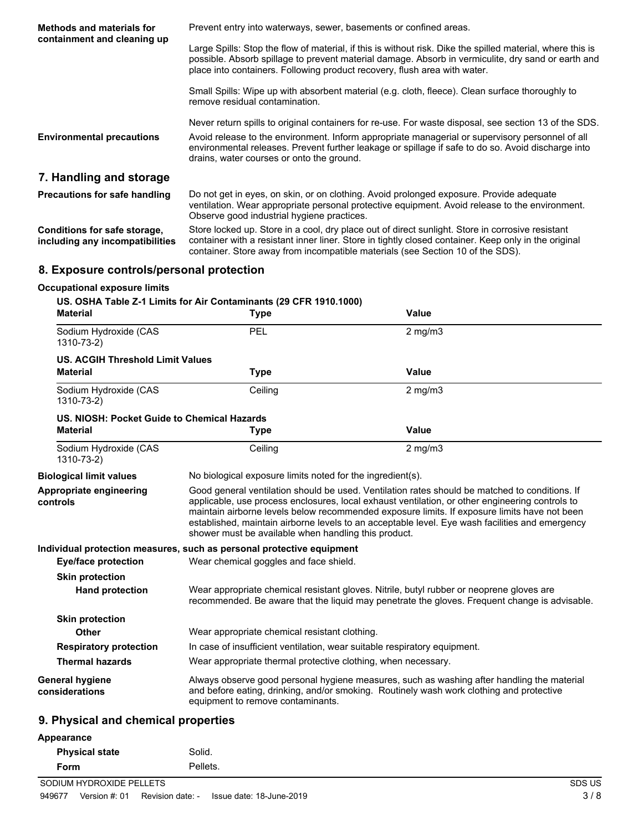| <b>Methods and materials for</b><br>containment and cleaning up | Prevent entry into waterways, sewer, basements or confined areas.                                                                                                                                                                                                                                                                                           |  |
|-----------------------------------------------------------------|-------------------------------------------------------------------------------------------------------------------------------------------------------------------------------------------------------------------------------------------------------------------------------------------------------------------------------------------------------------|--|
|                                                                 | Large Spills: Stop the flow of material, if this is without risk. Dike the spilled material, where this is<br>possible. Absorb spillage to prevent material damage. Absorb in vermiculite, dry sand or earth and<br>place into containers. Following product recovery, flush area with water.                                                               |  |
|                                                                 | Small Spills: Wipe up with absorbent material (e.g. cloth, fleece). Clean surface thoroughly to<br>remove residual contamination.                                                                                                                                                                                                                           |  |
| <b>Environmental precautions</b>                                | Never return spills to original containers for re-use. For waste disposal, see section 13 of the SDS.<br>Avoid release to the environment. Inform appropriate managerial or supervisory personnel of all<br>environmental releases. Prevent further leakage or spillage if safe to do so. Avoid discharge into<br>drains, water courses or onto the ground. |  |
| 7. Handling and storage                                         |                                                                                                                                                                                                                                                                                                                                                             |  |
| <b>Precautions for safe handling</b>                            | Do not get in eyes, on skin, or on clothing. Avoid prolonged exposure. Provide adequate<br>ventilation. Wear appropriate personal protective equipment. Avoid release to the environment.<br>Observe good industrial hygiene practices.                                                                                                                     |  |
| Conditions for safe storage,<br>including any incompatibilities | Store locked up. Store in a cool, dry place out of direct sunlight. Store in corrosive resistant<br>container with a resistant inner liner. Store in tightly closed container. Keep only in the original                                                                                                                                                    |  |

container. Store away from incompatible materials (see Section 10 of the SDS).

# **8. Exposure controls/personal protection**

### **Occupational exposure limits**

### **US. OSHA Table Z-1 Limits for Air Contaminants (29 CFR 1910.1000)**

| <b>Material</b>                             | Type                                                                      | Value                                                                                                                                                                                                                                                                                                                                                                                                |  |
|---------------------------------------------|---------------------------------------------------------------------------|------------------------------------------------------------------------------------------------------------------------------------------------------------------------------------------------------------------------------------------------------------------------------------------------------------------------------------------------------------------------------------------------------|--|
| Sodium Hydroxide (CAS<br>1310-73-2)         | PEL                                                                       | $2$ mg/m $3$                                                                                                                                                                                                                                                                                                                                                                                         |  |
| <b>US. ACGIH Threshold Limit Values</b>     |                                                                           |                                                                                                                                                                                                                                                                                                                                                                                                      |  |
| <b>Material</b>                             | <b>Type</b>                                                               | <b>Value</b>                                                                                                                                                                                                                                                                                                                                                                                         |  |
| Sodium Hydroxide (CAS<br>1310-73-2)         | Ceiling                                                                   | $2$ mg/m $3$                                                                                                                                                                                                                                                                                                                                                                                         |  |
| US. NIOSH: Pocket Guide to Chemical Hazards |                                                                           |                                                                                                                                                                                                                                                                                                                                                                                                      |  |
| <b>Material</b>                             | <b>Type</b>                                                               | Value                                                                                                                                                                                                                                                                                                                                                                                                |  |
| Sodium Hydroxide (CAS<br>1310-73-2)         | Ceiling                                                                   | $2$ mg/m $3$                                                                                                                                                                                                                                                                                                                                                                                         |  |
| <b>Biological limit values</b>              | No biological exposure limits noted for the ingredient(s).                |                                                                                                                                                                                                                                                                                                                                                                                                      |  |
| Appropriate engineering<br>controls         | shower must be available when handling this product.                      | Good general ventilation should be used. Ventilation rates should be matched to conditions. If<br>applicable, use process enclosures, local exhaust ventilation, or other engineering controls to<br>maintain airborne levels below recommended exposure limits. If exposure limits have not been<br>established, maintain airborne levels to an acceptable level. Eye wash facilities and emergency |  |
|                                             | Individual protection measures, such as personal protective equipment     |                                                                                                                                                                                                                                                                                                                                                                                                      |  |
| <b>Eye/face protection</b>                  | Wear chemical goggles and face shield.                                    |                                                                                                                                                                                                                                                                                                                                                                                                      |  |
| <b>Skin protection</b>                      |                                                                           |                                                                                                                                                                                                                                                                                                                                                                                                      |  |
| <b>Hand protection</b>                      |                                                                           | Wear appropriate chemical resistant gloves. Nitrile, butyl rubber or neoprene gloves are<br>recommended. Be aware that the liquid may penetrate the gloves. Frequent change is advisable.                                                                                                                                                                                                            |  |
| <b>Skin protection</b>                      |                                                                           |                                                                                                                                                                                                                                                                                                                                                                                                      |  |
| Other                                       | Wear appropriate chemical resistant clothing.                             |                                                                                                                                                                                                                                                                                                                                                                                                      |  |
| <b>Respiratory protection</b>               | In case of insufficient ventilation, wear suitable respiratory equipment. |                                                                                                                                                                                                                                                                                                                                                                                                      |  |
| <b>Thermal hazards</b>                      | Wear appropriate thermal protective clothing, when necessary.             |                                                                                                                                                                                                                                                                                                                                                                                                      |  |
| General hygiene<br>considerations           | equipment to remove contaminants.                                         | Always observe good personal hygiene measures, such as washing after handling the material<br>and before eating, drinking, and/or smoking. Routinely wash work clothing and protective                                                                                                                                                                                                               |  |
|                                             | the company of the company of the company                                 |                                                                                                                                                                                                                                                                                                                                                                                                      |  |

### **9. Physical and chemical properties**

### **Appearance**

| <b>Physical state</b> | Solid.   |
|-----------------------|----------|
| Form                  | Pellets. |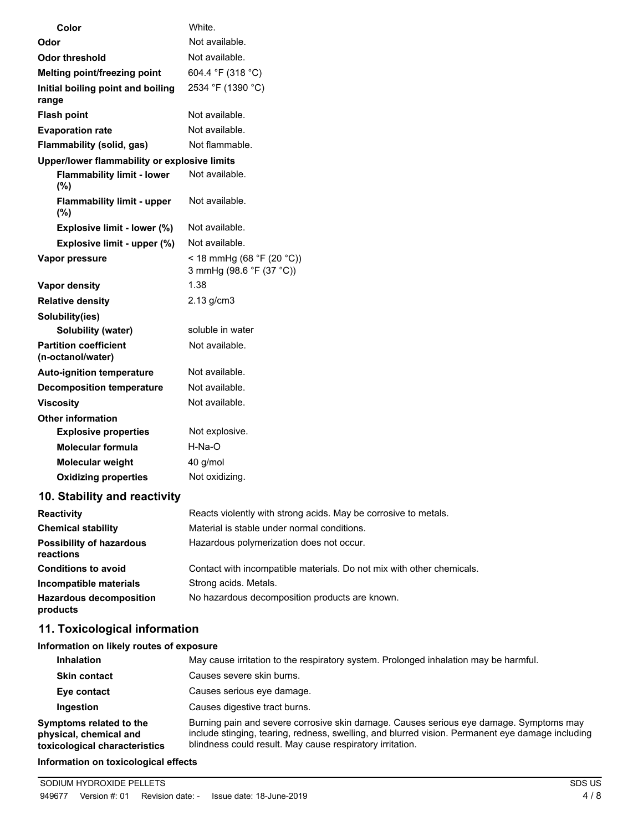| Color                                             | White.                                                |
|---------------------------------------------------|-------------------------------------------------------|
| Odor                                              | Not available.                                        |
| Odor threshold                                    | Not available.                                        |
| Melting point/freezing point                      | 604.4 °F (318 °C)                                     |
| Initial boiling point and boiling<br>range        | 2534 °F (1390 °C)                                     |
| <b>Flash point</b>                                | Not available.                                        |
| <b>Evaporation rate</b>                           | Not available.                                        |
| Flammability (solid, gas)                         | Not flammable.                                        |
| Upper/lower flammability or explosive limits      |                                                       |
| <b>Flammability limit - lower</b><br>(%)          | Not available.                                        |
| <b>Flammability limit - upper</b><br>(%)          | Not available.                                        |
| Explosive limit - lower (%)                       | Not available.                                        |
| Explosive limit - upper (%)                       | Not available.                                        |
|                                                   |                                                       |
| <b>Vapor pressure</b>                             | < 18 mmHg (68 °F (20 °C))<br>3 mmHg (98.6 °F (37 °C)) |
| <b>Vapor density</b>                              | 1.38                                                  |
| <b>Relative density</b>                           | $2.13$ g/cm $3$                                       |
| Solubility(ies)                                   |                                                       |
| Solubility (water)                                | soluble in water                                      |
| <b>Partition coefficient</b><br>(n-octanol/water) | Not available.                                        |
| <b>Auto-ignition temperature</b>                  | Not available.                                        |
| <b>Decomposition temperature</b>                  | Not available.                                        |
| <b>Viscosity</b>                                  | Not available.                                        |
| <b>Other information</b>                          |                                                       |
| <b>Explosive properties</b>                       | Not explosive.                                        |
| <b>Molecular formula</b>                          | H-Na-O                                                |
| <b>Molecular weight</b>                           | 40 g/mol                                              |

## **10. Stability and reactivity**

| <b>Reactivity</b>                            | Reacts violently with strong acids. May be corrosive to metals.       |
|----------------------------------------------|-----------------------------------------------------------------------|
| <b>Chemical stability</b>                    | Material is stable under normal conditions.                           |
| <b>Possibility of hazardous</b><br>reactions | Hazardous polymerization does not occur.                              |
| <b>Conditions to avoid</b>                   | Contact with incompatible materials. Do not mix with other chemicals. |
| Incompatible materials                       | Strong acids. Metals.                                                 |
| <b>Hazardous decomposition</b><br>products   | No hazardous decomposition products are known.                        |

### **11. Toxicological information**

### **Information on likely routes of exposure**

| <b>Inhalation</b>                                                                  | May cause irritation to the respiratory system. Prolonged inhalation may be harmful.                                                                                                                                                                    |
|------------------------------------------------------------------------------------|---------------------------------------------------------------------------------------------------------------------------------------------------------------------------------------------------------------------------------------------------------|
| <b>Skin contact</b>                                                                | Causes severe skin burns.                                                                                                                                                                                                                               |
| Eye contact                                                                        | Causes serious eye damage.                                                                                                                                                                                                                              |
| Ingestion                                                                          | Causes digestive tract burns.                                                                                                                                                                                                                           |
| Symptoms related to the<br>physical, chemical and<br>toxicological characteristics | Burning pain and severe corrosive skin damage. Causes serious eye damage. Symptoms may<br>include stinging, tearing, redness, swelling, and blurred vision. Permanent eye damage including<br>blindness could result. May cause respiratory irritation. |

### **Information on toxicological effects**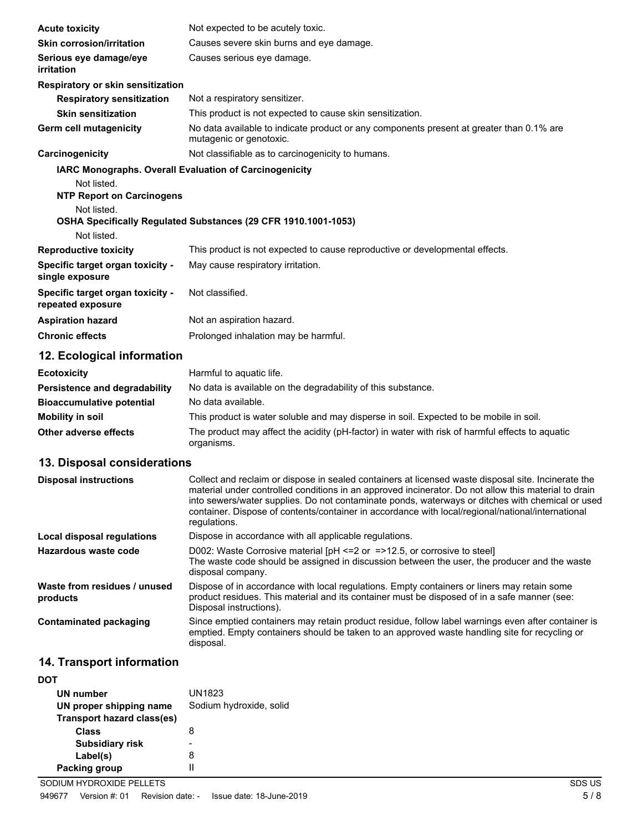| <b>Acute toxicity</b>                                         | Not expected to be acutely toxic.                                                                                   |
|---------------------------------------------------------------|---------------------------------------------------------------------------------------------------------------------|
| <b>Skin corrosion/irritation</b>                              | Causes severe skin burns and eye damage.                                                                            |
| Serious eye damage/eye<br>irritation                          | Causes serious eye damage.                                                                                          |
| Respiratory or skin sensitization                             |                                                                                                                     |
| <b>Respiratory sensitization</b>                              | Not a respiratory sensitizer.                                                                                       |
| <b>Skin sensitization</b>                                     | This product is not expected to cause skin sensitization.                                                           |
| Germ cell mutagenicity                                        | No data available to indicate product or any components present at greater than 0.1% are<br>mutagenic or genotoxic. |
| Carcinogenicity                                               | Not classifiable as to carcinogenicity to humans.                                                                   |
| <b>IARC Monographs. Overall Evaluation of Carcinogenicity</b> |                                                                                                                     |
| Not listed.<br><b>NTP Report on Carcinogens</b>               |                                                                                                                     |
| Not listed.                                                   |                                                                                                                     |
|                                                               | OSHA Specifically Regulated Substances (29 CFR 1910.1001-1053)                                                      |
| Not listed.                                                   |                                                                                                                     |
| <b>Reproductive toxicity</b>                                  | This product is not expected to cause reproductive or developmental effects.                                        |
| Specific target organ toxicity -<br>single exposure           | May cause respiratory irritation.                                                                                   |
| Specific target organ toxicity -<br>repeated exposure         | Not classified.                                                                                                     |
| <b>Aspiration hazard</b>                                      | Not an aspiration hazard.                                                                                           |
| <b>Chronic effects</b>                                        | Prolonged inhalation may be harmful.                                                                                |
| 12. Ecological information                                    |                                                                                                                     |

| <b>Ecotoxicity</b>               | Harmful to aquatic life.                                                                                      |
|----------------------------------|---------------------------------------------------------------------------------------------------------------|
| Persistence and degradability    | No data is available on the degradability of this substance.                                                  |
| <b>Bioaccumulative potential</b> | No data available.                                                                                            |
| Mobility in soil                 | This product is water soluble and may disperse in soil. Expected to be mobile in soil.                        |
| Other adverse effects            | The product may affect the acidity (pH-factor) in water with risk of harmful effects to aquatic<br>organisms. |

# **13. Disposal considerations**

| <b>Disposal instructions</b>             | Collect and reclaim or dispose in sealed containers at licensed waste disposal site. Incinerate the<br>material under controlled conditions in an approved incinerator. Do not allow this material to drain<br>into sewers/water supplies. Do not contaminate ponds, waterways or ditches with chemical or used<br>container. Dispose of contents/container in accordance with local/regional/national/international<br>requlations. |
|------------------------------------------|--------------------------------------------------------------------------------------------------------------------------------------------------------------------------------------------------------------------------------------------------------------------------------------------------------------------------------------------------------------------------------------------------------------------------------------|
| Local disposal regulations               | Dispose in accordance with all applicable regulations.                                                                                                                                                                                                                                                                                                                                                                               |
| Hazardous waste code                     | D002: Waste Corrosive material $[PH \le 2$ or $= >12.5$ , or corrosive to steel<br>The waste code should be assigned in discussion between the user, the producer and the waste<br>disposal company.                                                                                                                                                                                                                                 |
| Waste from residues / unused<br>products | Dispose of in accordance with local regulations. Empty containers or liners may retain some<br>product residues. This material and its container must be disposed of in a safe manner (see:<br>Disposal instructions).                                                                                                                                                                                                               |
| Contaminated packaging                   | Since emptied containers may retain product residue, follow label warnings even after container is<br>emptied. Empty containers should be taken to an approved waste handling site for recycling or<br>disposal.                                                                                                                                                                                                                     |

# **14. Transport information**

| UN number                  | UN1823                  |
|----------------------------|-------------------------|
| UN proper shipping name    | Sodium hydroxide, solid |
| Transport hazard class(es) |                         |
| Class                      | 8                       |
| <b>Subsidiary risk</b>     |                         |
| Label(s)                   | 8                       |
| <b>Packing group</b>       |                         |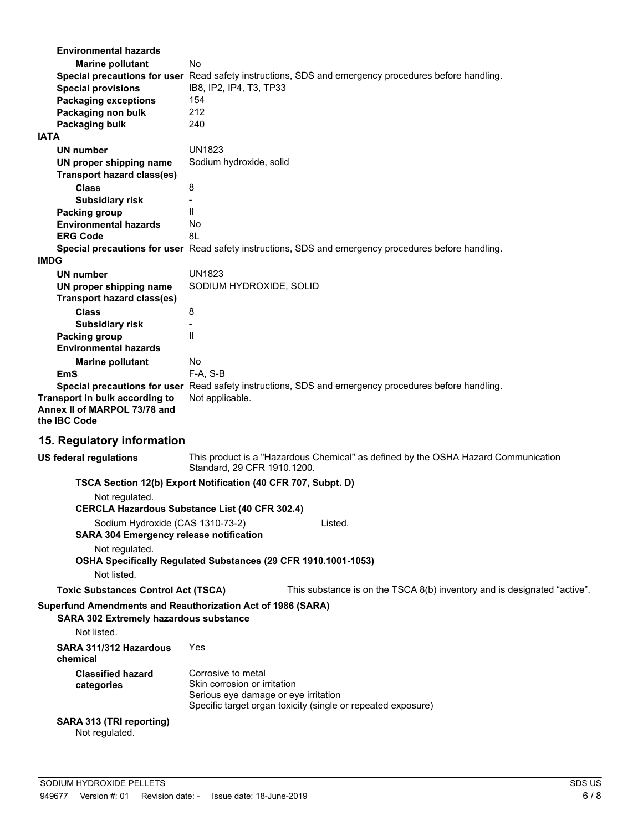| <b>Environmental hazards</b>                                                       |                                                                                                      |  |  |
|------------------------------------------------------------------------------------|------------------------------------------------------------------------------------------------------|--|--|
| <b>Marine pollutant</b>                                                            | No                                                                                                   |  |  |
|                                                                                    | Special precautions for user Read safety instructions, SDS and emergency procedures before handling. |  |  |
| <b>Special provisions</b>                                                          | IB8, IP2, IP4, T3, TP33                                                                              |  |  |
| <b>Packaging exceptions</b>                                                        | 154                                                                                                  |  |  |
| Packaging non bulk                                                                 | 212                                                                                                  |  |  |
| <b>Packaging bulk</b>                                                              | 240                                                                                                  |  |  |
| <b>IATA</b>                                                                        |                                                                                                      |  |  |
| UN number                                                                          | <b>UN1823</b>                                                                                        |  |  |
| UN proper shipping name                                                            | Sodium hydroxide, solid                                                                              |  |  |
| <b>Transport hazard class(es)</b>                                                  |                                                                                                      |  |  |
| <b>Class</b>                                                                       | 8                                                                                                    |  |  |
| <b>Subsidiary risk</b>                                                             |                                                                                                      |  |  |
| <b>Packing group</b>                                                               | $\mathbf{H}$                                                                                         |  |  |
| <b>Environmental hazards</b>                                                       | No.                                                                                                  |  |  |
| <b>ERG Code</b>                                                                    | 8L                                                                                                   |  |  |
|                                                                                    | Special precautions for user Read safety instructions, SDS and emergency procedures before handling. |  |  |
| <b>IMDG</b>                                                                        |                                                                                                      |  |  |
| <b>UN number</b>                                                                   | <b>UN1823</b>                                                                                        |  |  |
| UN proper shipping name                                                            | SODIUM HYDROXIDE, SOLID                                                                              |  |  |
| Transport hazard class(es)                                                         |                                                                                                      |  |  |
| <b>Class</b>                                                                       | 8                                                                                                    |  |  |
| <b>Subsidiary risk</b>                                                             |                                                                                                      |  |  |
| <b>Packing group</b>                                                               | Ш                                                                                                    |  |  |
| <b>Environmental hazards</b>                                                       |                                                                                                      |  |  |
| <b>Marine pollutant</b>                                                            | <b>No</b>                                                                                            |  |  |
| EmS                                                                                | F-A, S-B                                                                                             |  |  |
|                                                                                    | Special precautions for user Read safety instructions, SDS and emergency procedures before handling. |  |  |
| Transport in bulk according to                                                     | Not applicable.                                                                                      |  |  |
| Annex II of MARPOL 73/78 and                                                       |                                                                                                      |  |  |
| the <b>IBC</b> Code                                                                |                                                                                                      |  |  |
|                                                                                    |                                                                                                      |  |  |
| 15. Regulatory information                                                         |                                                                                                      |  |  |
| <b>US federal regulations</b>                                                      | This product is a "Hazardous Chemical" as defined by the OSHA Hazard Communication                   |  |  |
|                                                                                    | Standard, 29 CFR 1910.1200.                                                                          |  |  |
|                                                                                    | TSCA Section 12(b) Export Notification (40 CFR 707, Subpt. D)                                        |  |  |
| Not regulated.                                                                     |                                                                                                      |  |  |
|                                                                                    | <b>CERCLA Hazardous Substance List (40 CFR 302.4)</b>                                                |  |  |
| Sodium Hydroxide (CAS 1310-73-2)                                                   | Listed.                                                                                              |  |  |
| <b>SARA 304 Emergency release notification</b>                                     |                                                                                                      |  |  |
| Not regulated.                                                                     |                                                                                                      |  |  |
|                                                                                    | OSHA Specifically Regulated Substances (29 CFR 1910.1001-1053)                                       |  |  |
| Not listed.                                                                        |                                                                                                      |  |  |
| <b>Toxic Substances Control Act (TSCA)</b>                                         | This substance is on the TSCA 8(b) inventory and is designated "active".                             |  |  |
|                                                                                    | Superfund Amendments and Reauthorization Act of 1986 (SARA)                                          |  |  |
| <b>SARA 302 Extremely hazardous substance</b>                                      |                                                                                                      |  |  |
| Not listed.                                                                        |                                                                                                      |  |  |
|                                                                                    |                                                                                                      |  |  |
| SARA 311/312 Hazardous                                                             | Yes                                                                                                  |  |  |
| chemical                                                                           |                                                                                                      |  |  |
| <b>Classified hazard</b>                                                           | Corrosive to metal                                                                                   |  |  |
| Skin corrosion or irritation<br>categories<br>Serious eye damage or eye irritation |                                                                                                      |  |  |
|                                                                                    | Specific target organ toxicity (single or repeated exposure)                                         |  |  |
|                                                                                    |                                                                                                      |  |  |

### **SARA 313 (TRI reporting)** Not regulated.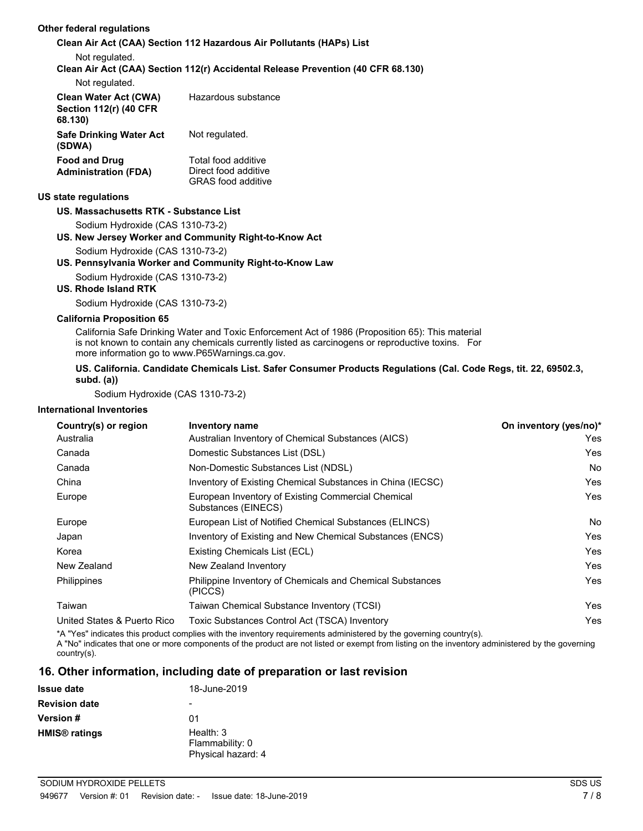### **Other federal regulations**

#### **Clean Air Act (CAA) Section 112 Hazardous Air Pollutants (HAPs) List** Not regulated. **Clean Air Act (CAA) Section 112(r) Accidental Release Prevention (40 CFR 68.130)** Not regulated. **Clean Water Act (CWA)** Hazardous substance **Section 112(r) (40 CFR 68.130) Safe Drinking Water Act** Not regulated. **(SDWA)** Total food additive Direct food additive GRAS food additive **Food and Drug Administration (FDA)**

### **US state regulations**

### **US. Massachusetts RTK - Substance List**

Sodium Hydroxide (CAS 1310-73-2)

### **US. New Jersey Worker and Community Right-to-Know Act**

Sodium Hydroxide (CAS 1310-73-2)

### **US. Pennsylvania Worker and Community Right-to-Know Law**

Sodium Hydroxide (CAS 1310-73-2)

### **US. Rhode Island RTK**

Sodium Hydroxide (CAS 1310-73-2)

#### **California Proposition 65**

California Safe Drinking Water and Toxic Enforcement Act of 1986 (Proposition 65): This material is not known to contain any chemicals currently listed as carcinogens or reproductive toxins. For more information go to www.P65Warnings.ca.gov.

### **US. California. Candidate Chemicals List. Safer Consumer Products Regulations (Cal. Code Regs, tit. 22, 69502.3, subd. (a))**

Sodium Hydroxide (CAS 1310-73-2)

### **International Inventories**

| Country(s) or region        | Inventory name                                                            | On inventory (yes/no)* |
|-----------------------------|---------------------------------------------------------------------------|------------------------|
| Australia                   | Australian Inventory of Chemical Substances (AICS)                        | Yes                    |
| Canada                      | Domestic Substances List (DSL)                                            | Yes                    |
| Canada                      | Non-Domestic Substances List (NDSL)                                       | No                     |
| China                       | Inventory of Existing Chemical Substances in China (IECSC)                | Yes                    |
| Europe                      | European Inventory of Existing Commercial Chemical<br>Substances (EINECS) | Yes                    |
| Europe                      | European List of Notified Chemical Substances (ELINCS)                    | No                     |
| Japan                       | Inventory of Existing and New Chemical Substances (ENCS)                  | Yes                    |
| Korea                       | Existing Chemicals List (ECL)                                             | Yes                    |
| New Zealand                 | New Zealand Inventory                                                     | Yes                    |
| Philippines                 | Philippine Inventory of Chemicals and Chemical Substances<br>(PICCS)      | Yes                    |
| Taiwan                      | Taiwan Chemical Substance Inventory (TCSI)                                | Yes                    |
| United States & Puerto Rico | Toxic Substances Control Act (TSCA) Inventory                             | Yes                    |

\*A "Yes" indicates this product complies with the inventory requirements administered by the governing country(s).

A "No" indicates that one or more components of the product are not listed or exempt from listing on the inventory administered by the governing country(s).

### **16. Other information, including date of preparation or last revision**

| <b>Issue date</b>               | 18-June-2019                                         |
|---------------------------------|------------------------------------------------------|
| <b>Revision date</b>            |                                                      |
| <b>Version #</b>                | 01                                                   |
| <b>HMIS<sup>®</sup></b> ratings | Health: $3$<br>Flammability: 0<br>Physical hazard: 4 |